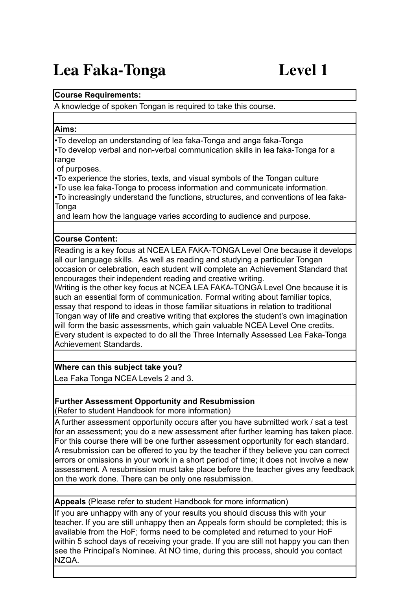# **Lea Faka-Tonga Level 1**

#### **Course Requirements:**

A knowledge of spoken Tongan is required to take this course.

#### **Aims:**

•To develop an understanding of lea faka-Tonga and anga faka-Tonga •To develop verbal and non-verbal communication skills in lea faka-Tonga for a range

of purposes.

•To experience the stories, texts, and visual symbols of the Tongan culture •To use lea faka-Tonga to process information and communicate information. •To increasingly understand the functions, structures, and conventions of lea faka-Tonga

and learn how the language varies according to audience and purpose.

## **Course Content:**

Reading is a key focus at NCEA LEA FAKA-TONGA Level One because it develops all our language skills. As well as reading and studying a particular Tongan occasion or celebration, each student will complete an Achievement Standard that encourages their independent reading and creative writing.

Writing is the other key focus at NCEA LEA FAKA-TONGA Level One because it is such an essential form of communication. Formal writing about familiar topics, essay that respond to ideas in those familiar situations in relation to traditional Tongan way of life and creative writing that explores the student's own imagination will form the basic assessments, which gain valuable NCEA Level One credits. Every student is expected to do all the Three Internally Assessed Lea Faka-Tonga Achievement Standards.

## **Where can this subject take you?**

Lea Faka Tonga NCEA Levels 2 and 3.

#### **Further Assessment Opportunity and Resubmission** (Refer to student Handbook for more information)

A further assessment opportunity occurs after you have submitted work / sat a test for an assessment; you do a new assessment after further learning has taken place. For this course there will be one further assessment opportunity for each standard. A resubmission can be offered to you by the teacher if they believe you can correct errors or omissions in your work in a short period of time; it does not involve a new assessment. A resubmission must take place before the teacher gives any feedback on the work done. There can be only one resubmission.

**Appeals** (Please refer to student Handbook for more information)

If you are unhappy with any of your results you should discuss this with your teacher. If you are still unhappy then an Appeals form should be completed; this is available from the HoF; forms need to be completed and returned to your HoF within 5 school days of receiving your grade. If you are still not happy you can then see the Principal's Nominee. At NO time, during this process, should you contact NZQA.